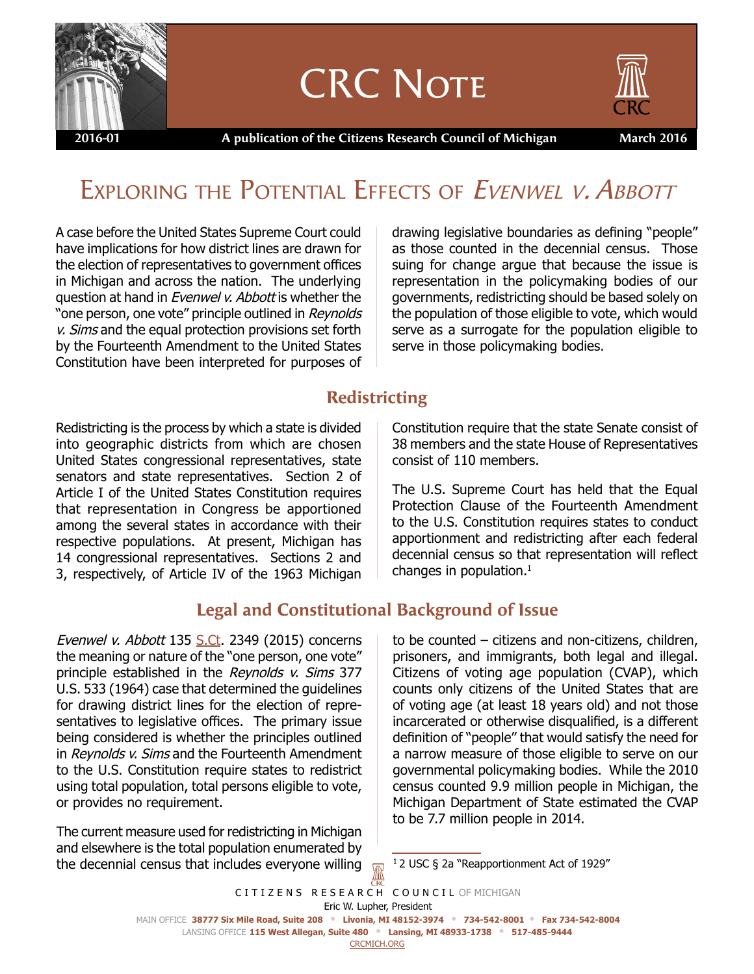

# **CRC NOTE**



 **2016-01 A publication of the Citizens Research Council of Michigan March 2016**

# EXPLORING THE POTENTIAL EFFECTS OF EVENWEL V. ABBOTT

A case before the United States Supreme Court could have implications for how district lines are drawn for the election of representatives to government offices in Michigan and across the nation. The underlying question at hand in Evenwel v. Abbott is whether the "one person, one vote" principle outlined in Reynolds v. Sims and the equal protection provisions set forth by the Fourteenth Amendment to the United States Constitution have been interpreted for purposes of drawing legislative boundaries as defining "people" as those counted in the decennial census. Those suing for change argue that because the issue is representation in the policymaking bodies of our governments, redistricting should be based solely on the population of those eligible to vote, which would serve as a surrogate for the population eligible to serve in those policymaking bodies.

## **Redistricting**

Redistricting is the process by which a state is divided into geographic districts from which are chosen United States congressional representatives, state senators and state representatives. Section 2 of Article I of the United States Constitution requires that representation in Congress be apportioned among the several states in accordance with their respective populations. At present, Michigan has 14 congressional representatives. Sections 2 and 3, respectively, of Article IV of the 1963 Michigan

# **Legal and Constitutional Background of Issue**

Evenwel v. Abbott 135 <S.Ct>. 2349 (2015) concerns the meaning or nature of the "one person, one vote" principle established in the Reynolds v. Sims 377 U.S. 533 (1964) case that determined the guidelines for drawing district lines for the election of representatives to legislative offices. The primary issue being considered is whether the principles outlined in Reynolds v. Sims and the Fourteenth Amendment to the U.S. Constitution require states to redistrict using total population, total persons eligible to vote, or provides no requirement.

The current measure used for redistricting in Michigan and elsewhere is the total population enumerated by the decennial census that includes everyone willing Constitution require that the state Senate consist of 38 members and the state House of Representatives consist of 110 members.

The U.S. Supreme Court has held that the Equal Protection Clause of the Fourteenth Amendment to the U.S. Constitution requires states to conduct apportionment and redistricting after each federal decennial census so that representation will reflect changes in population. $^1$ 

to be counted – citizens and non-citizens, children, prisoners, and immigrants, both legal and illegal. Citizens of voting age population (CVAP), which counts only citizens of the United States that are of voting age (at least 18 years old) and not those incarcerated or otherwise disqualified, is a different definition of "people" that would satisfy the need for a narrow measure of those eligible to serve on our governmental policymaking bodies. While the 2010 census counted 9.9 million people in Michigan, the Michigan Department of State estimated the CVAP to be 7.7 million people in 2014.

CITIZENS RESEARCH COUNCIL OF MICHIGAN Main Office **38777 Six Mile Road, Suite 208 • Livonia, MI 48152-3974 • 734-542-8001 • Fax 734-542-8004** Lansing Office **115 West Allegan, Suite 480 • Lansing, MI 48933-1738 • 517-485-9444** <crcmich.org> Eric W. Lupher, President

 $12$  USC § 2a "Reapportionment Act of 1929"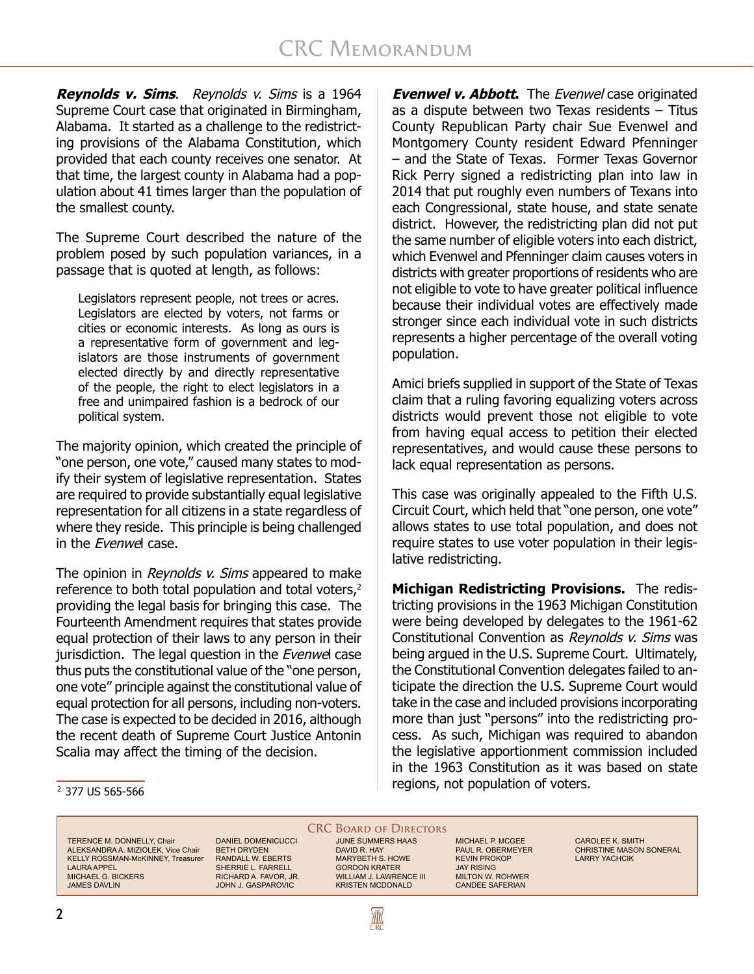**Reynolds v. Sims**. Reynolds v. Sims is a 1964 Supreme Court case that originated in Birmingham, Alabama. It started as a challenge to the redistricting provisions of the Alabama Constitution, which provided that each county receives one senator. At that time, the largest county in Alabama had a population about 41 times larger than the population of the smallest county.

The Supreme Court described the nature of the problem posed by such population variances, in a passage that is quoted at length, as follows:

Legislators represent people, not trees or acres. Legislators are elected by voters, not farms or cities or economic interests. As long as ours is a representative form of government and legislators are those instruments of government elected directly by and directly representative of the people, the right to elect legislators in a free and unimpaired fashion is a bedrock of our political system.

The majority opinion, which created the principle of "one person, one vote," caused many states to modify their system of legislative representation. States are required to provide substantially equal legislative representation for all citizens in a state regardless of where they reside. This principle is being challenged in the Evenwel case.

The opinion in Reynolds v. Sims appeared to make reference to both total population and total voters,<sup>2</sup> providing the legal basis for bringing this case. The Fourteenth Amendment requires that states provide equal protection of their laws to any person in their jurisdiction. The legal question in the Evenwel case thus puts the constitutional value of the "one person, one vote" principle against the constitutional value of equal protection for all persons, including non-voters. The case is expected to be decided in 2016, although the recent death of Supreme Court Justice Antonin Scalia may affect the timing of the decision.

**Evenwel v. Abbott.** The Evenwel case originated as a dispute between two Texas residents – Titus County Republican Party chair Sue Evenwel and Montgomery County resident Edward Pfenninger – and the State of Texas. Former Texas Governor Rick Perry signed a redistricting plan into law in 2014 that put roughly even numbers of Texans into each Congressional, state house, and state senate district. However, the redistricting plan did not put the same number of eligible voters into each district, which Evenwel and Pfenninger claim causes voters in districts with greater proportions of residents who are not eligible to vote to have greater political influence because their individual votes are effectively made stronger since each individual vote in such districts represents a higher percentage of the overall voting population.

Amici briefs supplied in support of the State of Texas claim that a ruling favoring equalizing voters across districts would prevent those not eligible to vote from having equal access to petition their elected representatives, and would cause these persons to lack equal representation as persons.

This case was originally appealed to the Fifth U.S. Circuit Court, which held that "one person, one vote" allows states to use total population, and does not require states to use voter population in their legislative redistricting.

**Michigan Redistricting Provisions.** The redistricting provisions in the 1963 Michigan Constitution were being developed by delegates to the 1961-62 Constitutional Convention as Revnolds v. Sims was being argued in the U.S. Supreme Court. Ultimately, the Constitutional Convention delegates failed to anticipate the direction the U.S. Supreme Court would take in the case and included provisions incorporating more than just "persons" into the redistricting process. As such, Michigan was required to abandon the legislative apportionment commission included in the 1963 Constitution as it was based on state  $\frac{2}{3}$  377 US 565-566

TERENCE M. DONNELLY, Chair ALEKSANDRA A. MIZIOLEK, Vice Chair KELLY ROSSMAN-McKINNEY, Treasurer LAURA APPEL MICHAEL G. BICKERS JAMES DAVLIN

DANIEL DOMENICUCCI BETH DRYDEN RANDALL W. EBERTS SHERRIE L. FARRELL RICHARD A. FAVOR, JR. JOHN J. GASPAROVIC

#### **CRC BOARD OF DIRECTORS**

JUNE SUMMERS HAAS DAVID R. HAY MARYBETH S. HOWE GORDON KRATER WILLIAM J. LAWRENCE III KRISTEN MCDONALD

AN

MICHAEL P. MCGEE PAUL R. OBERMEYER KEVIN PROKOP JAY RISING MILTON W. ROHWER CANDEE SAFERIAN

CAROLEE K. SMITH CHRISTINE MASON SONERAL LARRY YACHCIK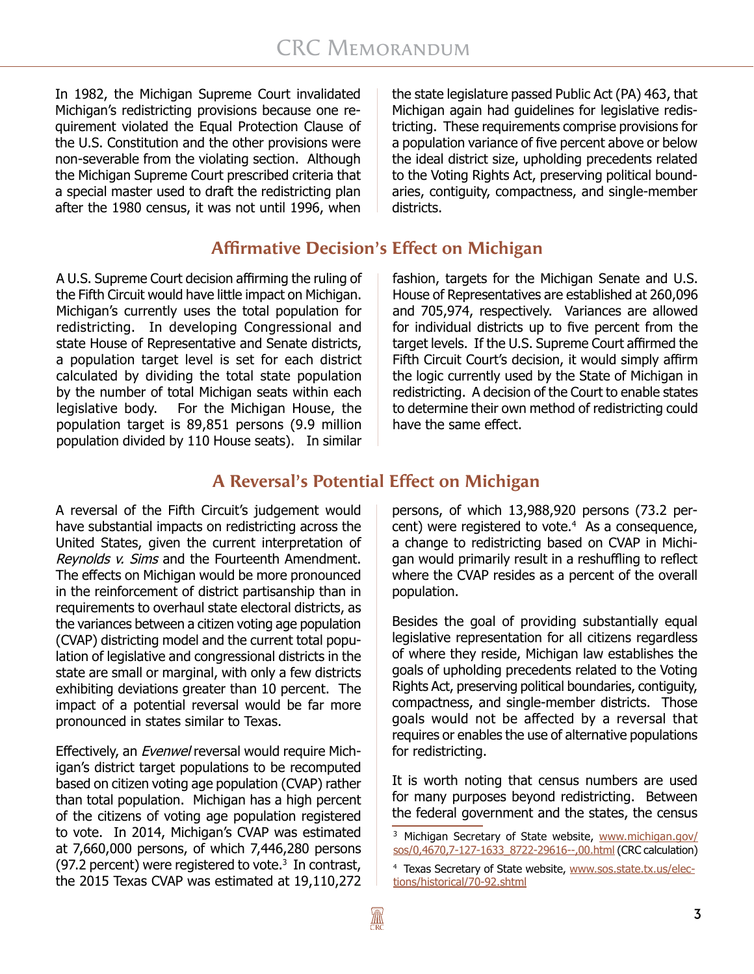In 1982, the Michigan Supreme Court invalidated Michigan's redistricting provisions because one requirement violated the Equal Protection Clause of the U.S. Constitution and the other provisions were non-severable from the violating section. Although the Michigan Supreme Court prescribed criteria that a special master used to draft the redistricting plan after the 1980 census, it was not until 1996, when

the state legislature passed Public Act (PA) 463, that Michigan again had guidelines for legislative redistricting. These requirements comprise provisions for a population variance of five percent above or below the ideal district size, upholding precedents related to the Voting Rights Act, preserving political boundaries, contiguity, compactness, and single-member districts.

# **Affirmative Decision's Effect on Michigan**

A U.S. Supreme Court decision affirming the ruling of the Fifth Circuit would have little impact on Michigan. Michigan's currently uses the total population for redistricting. In developing Congressional and state House of Representative and Senate districts, a population target level is set for each district calculated by dividing the total state population by the number of total Michigan seats within each legislative body. For the Michigan House, the population target is 89,851 persons (9.9 million population divided by 110 House seats). In similar fashion, targets for the Michigan Senate and U.S. House of Representatives are established at 260,096 and 705,974, respectively. Variances are allowed for individual districts up to five percent from the target levels. If the U.S. Supreme Court affirmed the Fifth Circuit Court's decision, it would simply affirm the logic currently used by the State of Michigan in redistricting. A decision of the Court to enable states to determine their own method of redistricting could have the same effect.

# **A Reversal's Potential Effect on Michigan**

A reversal of the Fifth Circuit's judgement would have substantial impacts on redistricting across the United States, given the current interpretation of Reynolds v. Sims and the Fourteenth Amendment. The effects on Michigan would be more pronounced in the reinforcement of district partisanship than in requirements to overhaul state electoral districts, as the variances between a citizen voting age population (CVAP) districting model and the current total population of legislative and congressional districts in the state are small or marginal, with only a few districts exhibiting deviations greater than 10 percent. The impact of a potential reversal would be far more pronounced in states similar to Texas.

Effectively, an Evenwel reversal would require Michigan's district target populations to be recomputed based on citizen voting age population (CVAP) rather than total population. Michigan has a high percent of the citizens of voting age population registered to vote. In 2014, Michigan's CVAP was estimated at 7,660,000 persons, of which 7,446,280 persons (97.2 percent) were registered to vote.<sup>3</sup> In contrast, the 2015 Texas CVAP was estimated at 19,110,272

persons, of which 13,988,920 persons (73.2 percent) were registered to vote.<sup>4</sup> As a consequence, a change to redistricting based on CVAP in Michigan would primarily result in a reshuffling to reflect where the CVAP resides as a percent of the overall population.

Besides the goal of providing substantially equal legislative representation for all citizens regardless of where they reside, Michigan law establishes the goals of upholding precedents related to the Voting Rights Act, preserving political boundaries, contiguity, compactness, and single-member districts. Those goals would not be affected by a reversal that requires or enables the use of alternative populations for redistricting.

It is worth noting that census numbers are used for many purposes beyond redistricting. Between the federal government and the states, the census

<sup>3</sup> Michigan Secretary of State website, [www.michigan.gov/](http://www.michigan.gov/sos/0,4670,7-127-1633_8722-29616--,00.html) [sos/0,4670,7-127-1633\\_8722-29616--,00.html](http://www.michigan.gov/sos/0,4670,7-127-1633_8722-29616--,00.html) (CRC calculation)

<sup>&</sup>lt;sup>4</sup> Texas Secretary of State website, [www.sos.state.tx.us/elec](http://www.sos.state.tx.us/elections/historical/70-92.shtml)[tions/historical/70-92.shtml](http://www.sos.state.tx.us/elections/historical/70-92.shtml)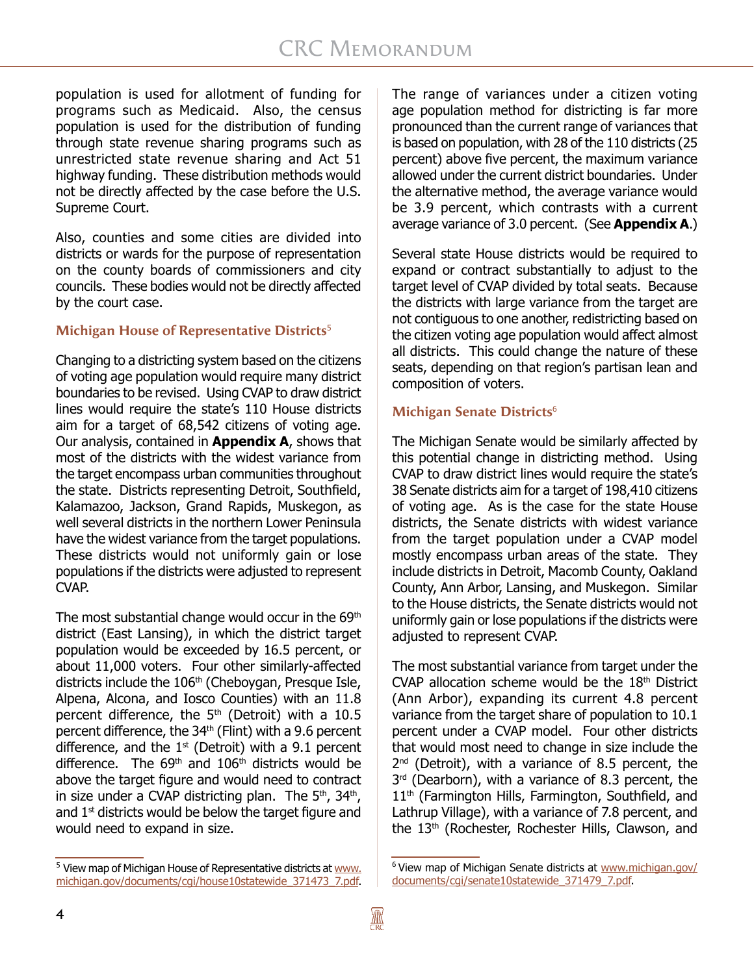population is used for allotment of funding for programs such as Medicaid. Also, the census population is used for the distribution of funding through state revenue sharing programs such as unrestricted state revenue sharing and Act 51 highway funding. These distribution methods would not be directly affected by the case before the U.S. Supreme Court.

Also, counties and some cities are divided into districts or wards for the purpose of representation on the county boards of commissioners and city councils. These bodies would not be directly affected by the court case.

#### **Michigan House of Representative Districts**<sup>5</sup>

Changing to a districting system based on the citizens of voting age population would require many district boundaries to be revised. Using CVAP to draw district lines would require the state's 110 House districts aim for a target of 68,542 citizens of voting age. Our analysis, contained in **Appendix A**, shows that most of the districts with the widest variance from the target encompass urban communities throughout the state. Districts representing Detroit, Southfield, Kalamazoo, Jackson, Grand Rapids, Muskegon, as well several districts in the northern Lower Peninsula have the widest variance from the target populations. These districts would not uniformly gain or lose populations if the districts were adjusted to represent CVAP.

The most substantial change would occur in the 69<sup>th</sup> district (East Lansing), in which the district target population would be exceeded by 16.5 percent, or about 11,000 voters. Four other similarly-affected districts include the 106<sup>th</sup> (Cheboygan, Presque Isle, Alpena, Alcona, and Iosco Counties) with an 11.8 percent difference, the 5<sup>th</sup> (Detroit) with a 10.5 percent difference, the  $34<sup>th</sup>$  (Flint) with a 9.6 percent difference, and the  $1<sup>st</sup>$  (Detroit) with a 9.1 percent difference. The  $69<sup>th</sup>$  and  $106<sup>th</sup>$  districts would be above the target figure and would need to contract in size under a CVAP districting plan. The  $5<sup>th</sup>$ , 34<sup>th</sup>, and  $1<sup>st</sup>$  districts would be below the target figure and would need to expand in size.

The range of variances under a citizen voting age population method for districting is far more pronounced than the current range of variances that is based on population, with 28 of the 110 districts (25 percent) above five percent, the maximum variance allowed under the current district boundaries. Under the alternative method, the average variance would be 3.9 percent, which contrasts with a current average variance of 3.0 percent. (See **Appendix A**.)

Several state House districts would be required to expand or contract substantially to adjust to the target level of CVAP divided by total seats. Because the districts with large variance from the target are not contiguous to one another, redistricting based on the citizen voting age population would affect almost all districts. This could change the nature of these seats, depending on that region's partisan lean and composition of voters.

#### **Michigan Senate Districts**<sup>6</sup>

The Michigan Senate would be similarly affected by this potential change in districting method. Using CVAP to draw district lines would require the state's 38 Senate districts aim for a target of 198,410 citizens of voting age. As is the case for the state House districts, the Senate districts with widest variance from the target population under a CVAP model mostly encompass urban areas of the state. They include districts in Detroit, Macomb County, Oakland County, Ann Arbor, Lansing, and Muskegon. Similar to the House districts, the Senate districts would not uniformly gain or lose populations if the districts were adjusted to represent CVAP.

The most substantial variance from target under the CVAP allocation scheme would be the  $18<sup>th</sup>$  District (Ann Arbor), expanding its current 4.8 percent variance from the target share of population to 10.1 percent under a CVAP model. Four other districts that would most need to change in size include the 2<sup>nd</sup> (Detroit), with a variance of 8.5 percent, the 3<sup>rd</sup> (Dearborn), with a variance of 8.3 percent, the 11<sup>th</sup> (Farmington Hills, Farmington, Southfield, and Lathrup Village), with a variance of 7.8 percent, and the 13<sup>th</sup> (Rochester, Rochester Hills, Clawson, and

<sup>&</sup>lt;sup>5</sup> View map of Michigan House of Representative districts at [www.](http://www.michigan.gov/documents/cgi/house10statewide_371473_7.pdf) [michigan.gov/documents/cgi/house10statewide\\_371473\\_7.pdf](http://www.michigan.gov/documents/cgi/house10statewide_371473_7.pdf).

<sup>&</sup>lt;sup>6</sup> View map of Michigan Senate districts at [www.michigan.gov/](http://www.michigan.gov/documents/cgi/senate10statewide_371479_7.pdf) [documents/cgi/senate10statewide\\_371479\\_7.pdf](http://www.michigan.gov/documents/cgi/senate10statewide_371479_7.pdf).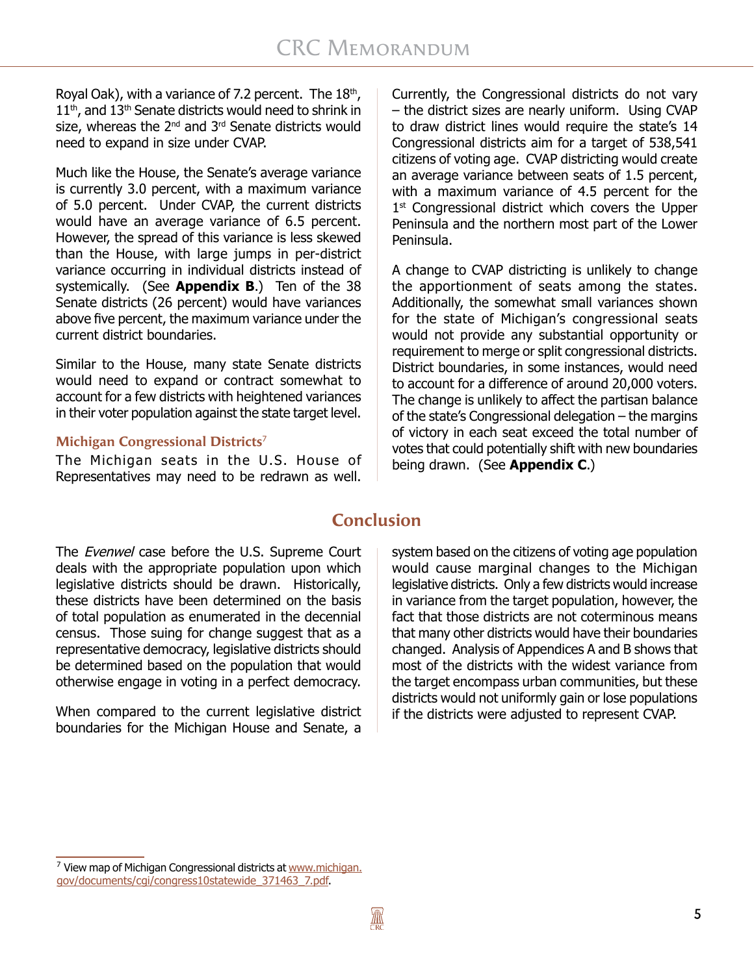Royal Oak), with a variance of 7.2 percent. The  $18<sup>th</sup>$ ,  $11<sup>th</sup>$ , and  $13<sup>th</sup>$  Senate districts would need to shrink in size, whereas the 2<sup>nd</sup> and 3<sup>rd</sup> Senate districts would need to expand in size under CVAP.

Much like the House, the Senate's average variance is currently 3.0 percent, with a maximum variance of 5.0 percent. Under CVAP, the current districts would have an average variance of 6.5 percent. However, the spread of this variance is less skewed than the House, with large jumps in per-district variance occurring in individual districts instead of systemically. (See **Appendix B**.) Ten of the 38 Senate districts (26 percent) would have variances above five percent, the maximum variance under the current district boundaries.

Similar to the House, many state Senate districts would need to expand or contract somewhat to account for a few districts with heightened variances in their voter population against the state target level.

#### **Michigan Congressional Districts**<sup>7</sup>

The Michigan seats in the U.S. House of Representatives may need to be redrawn as well.

Currently, the Congressional districts do not vary – the district sizes are nearly uniform. Using CVAP to draw district lines would require the state's 14 Congressional districts aim for a target of 538,541 citizens of voting age. CVAP districting would create an average variance between seats of 1.5 percent, with a maximum variance of 4.5 percent for the 1<sup>st</sup> Congressional district which covers the Upper Peninsula and the northern most part of the Lower Peninsula.

A change to CVAP districting is unlikely to change the apportionment of seats among the states. Additionally, the somewhat small variances shown for the state of Michigan's congressional seats would not provide any substantial opportunity or requirement to merge or split congressional districts. District boundaries, in some instances, would need to account for a difference of around 20,000 voters. The change is unlikely to affect the partisan balance of the state's Congressional delegation – the margins of victory in each seat exceed the total number of votes that could potentially shift with new boundaries being drawn. (See **Appendix C**.)

### **Conclusion**

The *Evenwel* case before the U.S. Supreme Court deals with the appropriate population upon which legislative districts should be drawn. Historically, these districts have been determined on the basis of total population as enumerated in the decennial census. Those suing for change suggest that as a representative democracy, legislative districts should be determined based on the population that would otherwise engage in voting in a perfect democracy.

When compared to the current legislative district boundaries for the Michigan House and Senate, a system based on the citizens of voting age population would cause marginal changes to the Michigan legislative districts. Only a few districts would increase in variance from the target population, however, the fact that those districts are not coterminous means that many other districts would have their boundaries changed. Analysis of Appendices A and B shows that most of the districts with the widest variance from the target encompass urban communities, but these districts would not uniformly gain or lose populations if the districts were adjusted to represent CVAP.

<sup>&</sup>lt;sup>7</sup> View map of Michigan Congressional districts at [www.michigan.](http://www.michigan.gov/documents/cgi/congress10statewide_371463_7.pdf) [gov/documents/cgi/congress10statewide\\_371463\\_7.pdf.](http://www.michigan.gov/documents/cgi/congress10statewide_371463_7.pdf)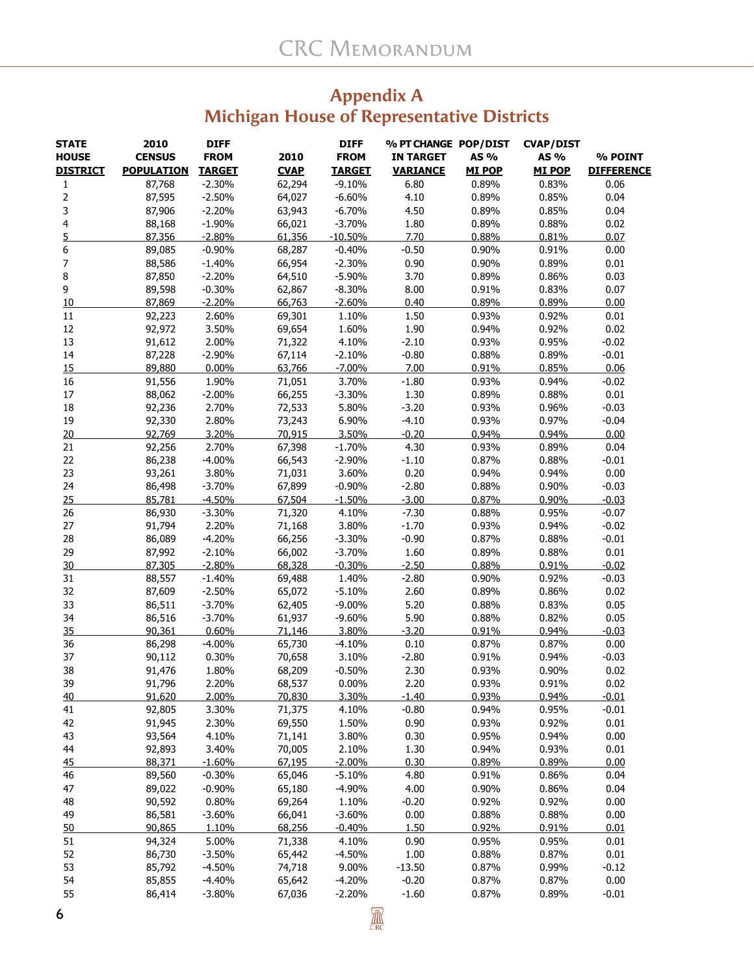### **Appendix A Michigan House of Representative Districts**

| <b>STATE</b>            | 2010              | <b>DIFF</b>   |             | <b>DIFF</b>   | % PT CHANGE POP/DIST |               | <b>CVAP/DIST</b> |                   |
|-------------------------|-------------------|---------------|-------------|---------------|----------------------|---------------|------------------|-------------------|
| <b>HOUSE</b>            | <b>CENSUS</b>     | <b>FROM</b>   | 2010        | <b>FROM</b>   | <b>IN TARGET</b>     | AS %          | AS %             | % POINT           |
| <b>DISTRICT</b>         | <b>POPULATION</b> | <b>TARGET</b> | <b>CVAP</b> | <b>TARGET</b> | <b>VARIANCE</b>      | <b>MI POP</b> | <b>MI POP</b>    | <b>DIFFERENCE</b> |
| 1                       | 87,768            | $-2.30%$      | 62,294      | $-9.10%$      | 6.80                 | 0.89%         | 0.83%            | 0.06              |
| $\overline{\mathbf{c}}$ | 87,595            | $-2.50%$      | 64,027      | $-6.60%$      | 4.10                 | 0.89%         | 0.85%            | 0.04              |
| 3                       | 87,906            | $-2.20%$      | 63,943      | $-6.70%$      | 4.50                 | 0.89%         | 0.85%            | 0.04              |
| 4                       | 88,168            | $-1.90%$      | 66,021      | $-3.70%$      | 1.80                 | 0.89%         | 0.88%            | 0.02              |
| 5                       | 87,356            | $-2.80%$      | 61,356      | $-10.50%$     | 7.70                 | 0.88%         | 0.81%            | 0.07              |
| 6                       | 89,085            | $-0.90%$      | 68,287      | $-0.40%$      | $-0.50$              | 0.90%         | 0.91%            | 0.00              |
| 7                       | 88,586            | $-1.40%$      | 66,954      | $-2.30%$      | 0.90                 | 0.90%         | 0.89%            | 0.01              |
| 8                       | 87,850            | $-2.20%$      | 64,510      | $-5.90%$      | 3.70                 | 0.89%         | 0.86%            | 0.03              |
| 9                       | 89,598            | $-0.30%$      | 62,867      | $-8.30%$      | 8.00                 | 0.91%         | 0.83%            | 0.07              |
| 10                      | 87,869            | $-2.20%$      | 66,763      | $-2.60%$      | 0.40                 | 0.89%         | 0.89%            | 0.00              |
| 11                      | 92,223            | 2.60%         | 69,301      | 1.10%         | 1.50                 | 0.93%         | 0.92%            | 0.01              |
| 12                      | 92,972            | 3.50%         | 69,654      | 1.60%         | 1.90                 | 0.94%         | 0.92%            | 0.02              |
| 13                      | 91,612            | 2.00%         | 71,322      | 4.10%         | $-2.10$              | 0.93%         | 0.95%            | $-0.02$           |
| 14                      | 87,228            | $-2.90%$      | 67,114      | $-2.10%$      | $-0.80$              | 0.88%         | 0.89%            | $-0.01$           |
| 15                      | 89,880            | 0.00%         | 63,766      | $-7.00%$      | 7.00                 | 0.91%         | 0.85%            | 0.06              |
| 16                      | 91,556            | 1.90%         | 71,051      | 3.70%         | $-1.80$              | 0.93%         | 0.94%            | $-0.02$           |
| 17                      | 88,062            | $-2.00%$      | 66,255      | $-3.30%$      | 1.30                 | 0.89%         | 0.88%            | 0.01              |
| 18                      | 92,236            | 2.70%         | 72,533      | 5.80%         | $-3.20$              | 0.93%         | 0.96%            | $-0.03$           |
| 19                      | 92,330            | 2.80%         | 73,243      | 6.90%         | $-4.10$              | 0.93%         | 0.97%            | $-0.04$           |
| 20                      | 92,769            | 3.20%         | 70,915      | 3.50%         | $-0.20$              | 0.94%         | 0.94%            | 0.00              |
| 21                      | 92,256            | 2.70%         | 67,398      | $-1.70%$      | 4.30                 | 0.93%         | 0.89%            | 0.04              |
| 22                      | 86,238            | $-4.00%$      | 66,543      | $-2.90%$      | $-1.10$              | 0.87%         | 0.88%            | $-0.01$           |
| 23                      | 93,261            | 3.80%         | 71,031      | 3.60%         | 0.20                 | 0.94%         | 0.94%            | 0.00              |
| 24                      | 86,498            | $-3.70%$      | 67,899      | $-0.90%$      | $-2.80$              | 0.88%         | 0.90%            | $-0.03$           |
| 25                      | 85,781            | $-4.50%$      | 67,504      | $-1.50%$      | $-3.00$              | 0.87%         | 0.90%            | $-0.03$           |
| 26                      | 86,930            | $-3.30%$      | 71,320      | 4.10%         | $-7.30$              | 0.88%         | 0.95%            | $-0.07$           |
| 27                      | 91,794            | 2.20%         | 71,168      | 3.80%         | $-1.70$              | 0.93%         | 0.94%            | $-0.02$           |
| 28                      | 86,089            | $-4.20%$      | 66,256      | $-3.30%$      | $-0.90$              | 0.87%         | 0.88%            | $-0.01$           |
| 29                      | 87,992            | $-2.10%$      | 66,002      | $-3.70%$      | 1.60                 | 0.89%         | 0.88%            | 0.01              |
| 30                      | 87,305            | $-2.80%$      | 68,328      | $-0.30%$      | $-2.50$              | 0.88%         | 0.91%            | $-0.02$           |
| 31                      | 88,557            | $-1.40%$      | 69,488      | 1.40%         | $-2.80$              | 0.90%         | 0.92%            | $-0.03$           |
| 32                      | 87,609            | $-2.50%$      | 65,072      | $-5.10%$      | 2.60                 | 0.89%         | 0.86%            | 0.02              |
| 33                      | 86,511            | $-3.70%$      | 62,405      | $-9.00%$      | 5.20                 | 0.88%         | 0.83%            | 0.05              |
| 34                      | 86,516            | $-3.70%$      | 61,937      | $-9.60%$      | 5.90                 | 0.88%         | 0.82%            | 0.05              |
| 35                      | 90,361            | 0.60%         | 71,146      | 3.80%         | $-3.20$              | 0.91%         | 0.94%            | $-0.03$           |
| 36                      | 86,298            | $-4.00%$      | 65,730      | $-4.10%$      | 0.10                 | 0.87%         | 0.87%            | 0.00              |
| 37                      | 90,112            | 0.30%         | 70,658      | 3.10%         | $-2.80$              | 0.91%         | 0.94%            | $-0.03$           |
| 38                      | 91,476            | 1.80%         | 68,209      | $-0.50%$      | 2.30                 | 0.93%         | 0.90%            | 0.02              |
| 39                      | 91,796            | 2.20%         | 68,537      | $0.00\%$      | 2.20                 | 0.93%         | 0.91%            | 0.02              |
| 40                      | 91,620            | 2.00%         | 70,830      | 3.30%         | $-1.40$              | 0.93%         | 0.94%            | $-0.01$           |
| 41                      | 92,805            | 3.30%         | 71,375      | 4.10%         | $-0.80$              | 0.94%         | 0.95%            | $-0.01$           |
| 42                      | 91,945            | 2.30%         | 69,550      | 1.50%         | 0.90                 | 0.93%         | 0.92%            | 0.01              |
| 43                      | 93,564            | 4.10%         | 71,141      | 3.80%         | 0.30                 | 0.95%         | 0.94%            | 0.00              |
| 44                      | 92,893            | 3.40%         | 70,005      | 2.10%         | 1.30                 | 0.94%         | 0.93%            | 0.01              |
| 45                      | 88,371            | $-1.60%$      | 67,195      | $-2.00%$      | 0.30                 | 0.89%         | 0.89%            | 0.00              |
| 46                      | 89,560            | $-0.30%$      | 65,046      | $-5.10%$      | 4.80                 | 0.91%         | 0.86%            | 0.04              |
| 47                      | 89,022            | $-0.90%$      | 65,180      | $-4.90%$      | 4.00                 | 0.90%         | 0.86%            | 0.04              |
| 48                      | 90,592            | 0.80%         | 69,264      | 1.10%         | $-0.20$              | 0.92%         | 0.92%            | 0.00              |
| 49                      | 86,581            | $-3.60%$      | 66,041      | $-3.60%$      | 0.00                 | 0.88%         | 0.88%            | 0.00              |
| 50                      | 90,865            | 1.10%         | 68,256      | $-0.40%$      | 1.50                 | 0.92%         | 0.91%            | 0.01              |
| 51                      | 94,324            | 5.00%         | 71,338      | 4.10%         | 0.90                 | 0.95%         | 0.95%            | 0.01              |
| 52                      | 86,730            | $-3.50%$      | 65,442      | $-4.50%$      | $1.00\,$             | 0.88%         | 0.87%            | 0.01              |
| 53                      | 85,792            | $-4.50%$      | 74,718      | 9.00%         | $-13.50$             | 0.87%         | 0.99%            | $-0.12$           |
| 54                      | 85,855            | $-4.40%$      | 65,642      | $-4.20%$      | $-0.20$              | 0.87%         | 0.87%            | 0.00              |
| 55                      | 86,414            | $-3.80%$      | 67,036      | $-2.20%$      | $-1.60$              | 0.87%         | 0.89%            | $-0.01$           |
|                         |                   |               |             |               |                      |               |                  |                   |

 $\overline{\mathbb{R}}$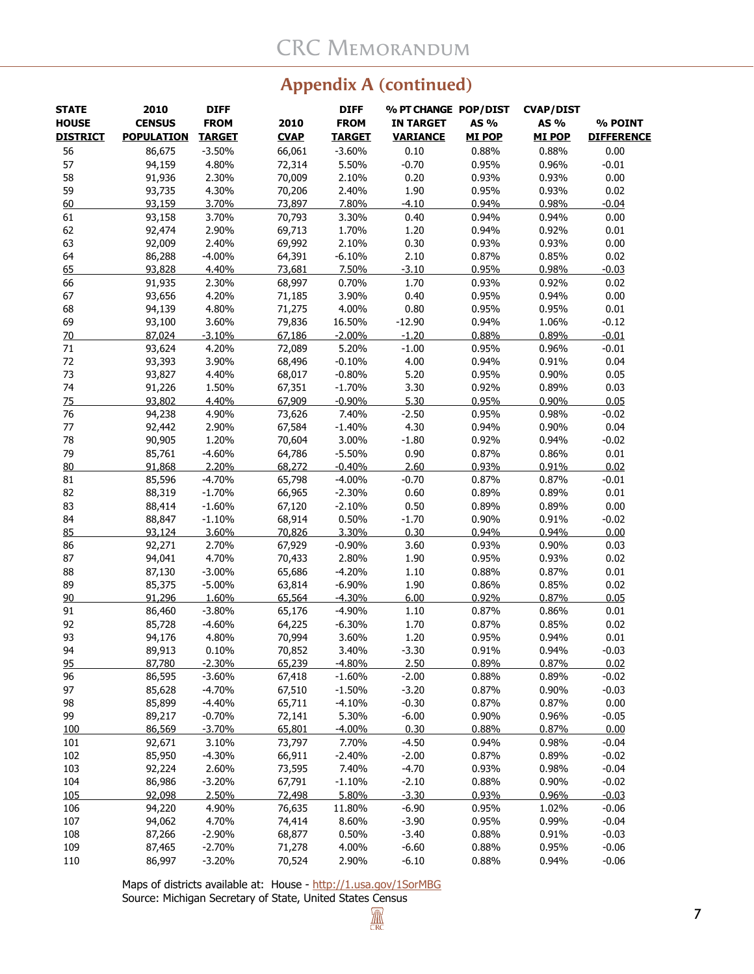# **Appendix A (continued)**

| <b>STATE</b><br><b>HOUSE</b><br><b>DISTRICT</b> | 2010<br><b>CENSUS</b><br><b>POPULATION</b> | <b>DIFF</b><br><b>FROM</b><br><b>TARGET</b> | 2010<br><b>CVAP</b> | <b>DIFF</b><br><b>FROM</b><br><b>TARGET</b> | % PT CHANGE POP/DIST<br><b>IN TARGET</b><br><b>VARIANCE</b> | AS %<br><b>MI POP</b> | <b>CVAP/DIST</b><br>AS %<br><b>MI POP</b> | % POINT<br><b>DIFFERENCE</b> |
|-------------------------------------------------|--------------------------------------------|---------------------------------------------|---------------------|---------------------------------------------|-------------------------------------------------------------|-----------------------|-------------------------------------------|------------------------------|
| 56                                              | 86,675                                     | $-3.50%$                                    | 66,061              | $-3.60%$                                    | 0.10                                                        | 0.88%                 | 0.88%                                     | 0.00                         |
| 57                                              | 94,159                                     | 4.80%                                       | 72,314              | 5.50%                                       | $-0.70$                                                     | 0.95%                 | 0.96%                                     | $-0.01$                      |
| 58                                              | 91,936                                     | 2.30%                                       | 70,009              | 2.10%                                       | 0.20                                                        | 0.93%                 | 0.93%                                     | 0.00                         |
| 59                                              | 93,735                                     | 4.30%                                       | 70,206              | 2.40%                                       | 1.90                                                        | 0.95%                 | 0.93%                                     | 0.02                         |
| 60                                              | 93,159                                     | 3.70%                                       | 73,897              | 7.80%                                       | $-4.10$                                                     | 0.94%                 | 0.98%                                     | $-0.04$                      |
| 61                                              | 93,158                                     | 3.70%                                       | 70,793              | 3.30%                                       | 0.40                                                        | 0.94%                 | 0.94%                                     | 0.00                         |
| 62                                              | 92,474                                     | 2.90%                                       | 69,713              | 1.70%                                       | 1.20                                                        | 0.94%                 | 0.92%                                     | 0.01                         |
| 63                                              | 92,009                                     | 2.40%                                       | 69,992              | 2.10%                                       | 0.30                                                        | 0.93%                 | 0.93%                                     | 0.00                         |
| 64                                              | 86,288                                     | $-4.00%$                                    | 64,391              | $-6.10%$                                    | 2.10                                                        | 0.87%                 | 0.85%                                     | 0.02                         |
| 65                                              | 93,828                                     | 4.40%                                       | 73,681              | 7.50%                                       | $-3.10$                                                     | 0.95%                 | 0.98%                                     | $-0.03$                      |
| 66                                              | 91,935                                     | 2.30%                                       | 68,997              | 0.70%                                       | 1.70                                                        | 0.93%                 | 0.92%                                     | 0.02                         |
| 67                                              | 93,656                                     | 4.20%                                       | 71,185              | 3.90%                                       | 0.40                                                        | 0.95%                 | 0.94%                                     | 0.00                         |
| 68                                              | 94,139                                     | 4.80%                                       | 71,275              | 4.00%                                       | 0.80                                                        | 0.95%                 | 0.95%                                     | 0.01                         |
| 69                                              | 93,100                                     | 3.60%                                       | 79,836              | 16.50%                                      | $-12.90$                                                    | 0.94%                 | 1.06%                                     | $-0.12$                      |
| 70                                              | 87,024                                     | $-3.10%$                                    | 67,186              | $-2.00%$                                    | $-1.20$                                                     | 0.88%                 | 0.89%                                     | $-0.01$                      |
| 71                                              | 93,624                                     | 4.20%                                       | 72,089              | 5.20%                                       | $-1.00$                                                     | 0.95%                 | 0.96%                                     | $-0.01$                      |
| 72                                              | 93,393                                     | 3.90%                                       | 68,496              | $-0.10%$                                    | 4.00                                                        | 0.94%                 | 0.91%                                     | 0.04                         |
| 73                                              | 93,827                                     | 4.40%                                       | 68,017              | $-0.80%$                                    | 5.20                                                        | 0.95%                 | 0.90%                                     | 0.05                         |
| 74                                              | 91,226                                     | 1.50%                                       | 67,351              | $-1.70%$                                    | 3.30                                                        | 0.92%                 | 0.89%                                     | 0.03                         |
| 75                                              | 93,802                                     | 4.40%                                       | 67,909              | $-0.90%$                                    | 5.30                                                        | 0.95%                 | 0.90%                                     | 0.05                         |
| 76                                              | 94,238                                     | 4.90%                                       | 73,626              | 7.40%                                       | $-2.50$                                                     | 0.95%                 | 0.98%                                     | $-0.02$                      |
| 77                                              | 92,442                                     | 2.90%                                       | 67,584              | $-1.40%$                                    | 4.30                                                        | 0.94%                 | 0.90%                                     | 0.04                         |
| 78                                              | 90,905                                     | 1.20%                                       | 70,604              | 3.00%                                       | $-1.80$                                                     | 0.92%                 | 0.94%                                     | $-0.02$                      |
| 79                                              | 85,761                                     | $-4.60%$                                    | 64,786              | $-5.50%$                                    | 0.90                                                        | 0.87%                 | 0.86%                                     | 0.01                         |
|                                                 | 91,868                                     | 2.20%                                       | 68,272              | $-0.40%$                                    | 2.60                                                        | 0.93%                 | 0.91%                                     | 0.02                         |
| 80                                              |                                            | $-4.70%$                                    |                     |                                             |                                                             |                       |                                           |                              |
| 81<br>82                                        | 85,596                                     |                                             | 65,798              | $-4.00%$                                    | $-0.70$                                                     | 0.87%                 | 0.87%                                     | $-0.01$<br>0.01              |
|                                                 | 88,319                                     | $-1.70%$                                    | 66,965              | $-2.30%$                                    | 0.60                                                        | 0.89%                 | 0.89%                                     |                              |
| 83                                              | 88,414                                     | $-1.60%$                                    | 67,120              | $-2.10%$                                    | 0.50                                                        | 0.89%                 | 0.89%                                     | 0.00                         |
| 84                                              | 88,847                                     | $-1.10%$                                    | 68,914              | 0.50%                                       | $-1.70$                                                     | 0.90%                 | 0.91%                                     | $-0.02$                      |
| 85                                              | 93,124                                     | 3.60%                                       | 70,826              | 3.30%                                       | 0.30                                                        | 0.94%                 | 0.94%                                     | 0.00                         |
| 86                                              | 92,271                                     | 2.70%                                       | 67,929              | $-0.90%$                                    | 3.60                                                        | 0.93%                 | 0.90%                                     | 0.03                         |
| 87                                              | 94,041                                     | 4.70%                                       | 70,433              | 2.80%                                       | 1.90                                                        | 0.95%                 | 0.93%                                     | 0.02                         |
| 88                                              | 87,130                                     | $-3.00%$                                    | 65,686              | $-4.20%$                                    | 1.10                                                        | 0.88%                 | 0.87%                                     | 0.01                         |
| 89                                              | 85,375                                     | $-5.00%$                                    | 63,814              | $-6.90%$                                    | 1.90                                                        | 0.86%                 | 0.85%                                     | 0.02                         |
| 90                                              | 91,296                                     | 1.60%                                       | 65.564              | $-4.30%$                                    | 6.00                                                        | 0.92%                 | 0.87%                                     | 0.05                         |
| 91                                              | 86,460                                     | $-3.80%$                                    | 65,176              | $-4.90%$                                    | 1.10                                                        | 0.87%                 | 0.86%                                     | 0.01                         |
| 92                                              | 85,728                                     | $-4.60%$                                    | 64,225              | $-6.30%$                                    | 1.70                                                        | 0.87%                 | 0.85%                                     | 0.02                         |
| 93                                              | 94,176                                     | 4.80%                                       | 70,994              | 3.60%                                       | 1.20                                                        | 0.95%                 | 0.94%                                     | 0.01                         |
| 94                                              | 89,913                                     | 0.10%                                       | 70,852              | 3.40%                                       | $-3.30$                                                     | 0.91%                 | 0.94%                                     | $-0.03$                      |
| 95                                              | 87,780                                     | $-2.30%$                                    | 65,239              | $-4.80%$                                    | 2.50                                                        | 0.89%                 | 0.87%                                     | 0.02                         |
| 96                                              | 86,595                                     | $-3.60%$                                    | 67,418              | $-1.60%$                                    | $-2.00$                                                     | 0.88%                 | 0.89%                                     | $-0.02$                      |
| 97                                              | 85,628                                     | $-4.70%$                                    | 67,510              | $-1.50%$                                    | $-3.20$                                                     | 0.87%                 | 0.90%                                     | $-0.03$                      |
| 98                                              | 85,899                                     | $-4.40%$                                    | 65,711              | $-4.10%$                                    | $-0.30$                                                     | 0.87%                 | 0.87%                                     | 0.00                         |
| 99                                              | 89,217                                     | $-0.70%$                                    | 72,141              | 5.30%                                       | $-6.00$                                                     | 0.90%                 | 0.96%                                     | $-0.05$                      |
| 100                                             | 86,569                                     | $-3.70%$                                    | 65,801              | $-4.00%$                                    | 0.30                                                        | 0.88%                 | 0.87%                                     | 0.00                         |
| 101                                             | 92,671                                     | 3.10%                                       | 73,797              | 7.70%                                       | $-4.50$                                                     | 0.94%                 | 0.98%                                     | $-0.04$                      |
| 102                                             | 85,950                                     | $-4.30%$                                    | 66,911              | $-2.40%$                                    | $-2.00$                                                     | 0.87%                 | 0.89%                                     | $-0.02$                      |
| 103                                             | 92,224                                     | 2.60%                                       | 73,595              | 7.40%                                       | $-4.70$                                                     | 0.93%                 | 0.98%                                     | $-0.04$                      |
| 104                                             | 86,986                                     | $-3.20%$                                    | 67,791              | $-1.10%$                                    | $-2.10$                                                     | 0.88%                 | 0.90%                                     | $-0.02$                      |
| 105                                             | 92,098                                     | 2.50%                                       | 72,498              | 5.80%                                       | $-3.30$                                                     | 0.93%                 | 0.96%                                     | $-0.03$                      |
| 106                                             | 94,220                                     | 4.90%                                       | 76,635              | 11.80%                                      | $-6.90$                                                     | 0.95%                 | 1.02%                                     | $-0.06$                      |
| 107                                             | 94,062                                     | 4.70%                                       | 74,414              | 8.60%                                       | $-3.90$                                                     | 0.95%                 | 0.99%                                     | $-0.04$                      |
| 108                                             | 87,266                                     | $-2.90%$                                    | 68,877              | 0.50%                                       | $-3.40$                                                     | 0.88%                 | 0.91%                                     | $-0.03$                      |
| 109                                             | 87,465                                     | $-2.70%$                                    | 71,278              | 4.00%                                       | $-6.60$                                                     | 0.88%                 | 0.95%                                     | $-0.06$                      |
| 110                                             | 86,997                                     | $-3.20%$                                    | 70,524              | 2.90%                                       | $-6.10$                                                     | 0.88%                 | 0.94%                                     | $-0.06$                      |

Maps of districts available at: House -<http://1.usa.gov/1SorMBG> Source: Michigan Secretary of State, United States Census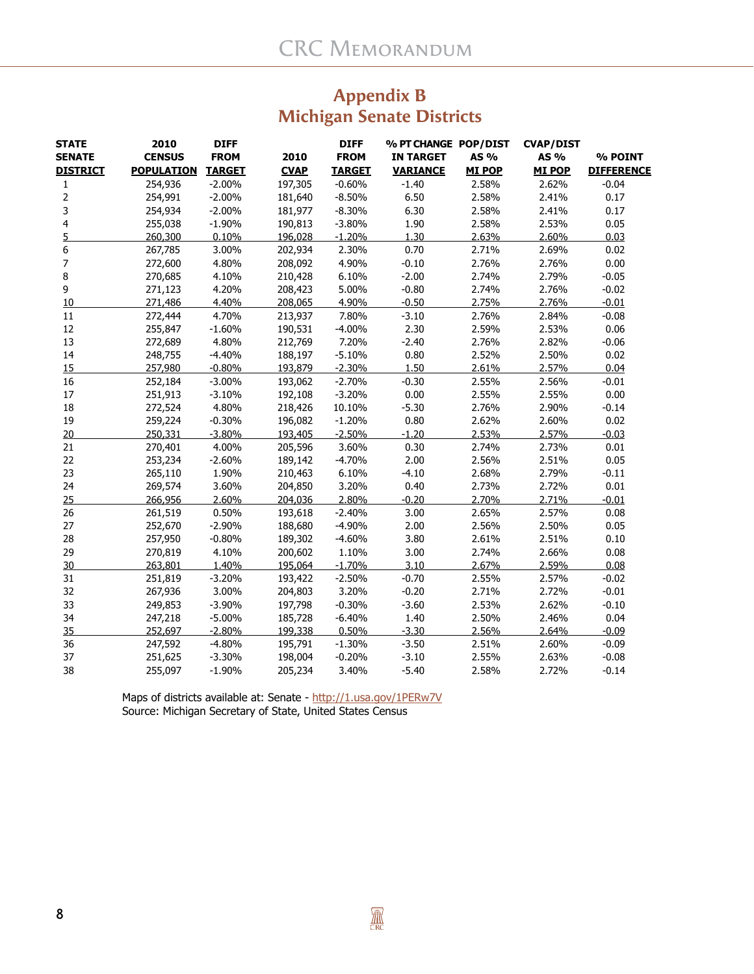# **Appendix B Michigan Senate Districts**

| <b>STATE</b>    | 2010              | <b>DIFF</b>   |             | <b>DIFF</b>   | % PT CHANGE POP/DIST |               | <b>CVAP/DIST</b> |                   |
|-----------------|-------------------|---------------|-------------|---------------|----------------------|---------------|------------------|-------------------|
| <b>SENATE</b>   | <b>CENSUS</b>     | <b>FROM</b>   | 2010        | <b>FROM</b>   | <b>IN TARGET</b>     | AS %          | AS %             | % POINT           |
| <b>DISTRICT</b> | <b>POPULATION</b> | <b>TARGET</b> | <b>CVAP</b> | <b>TARGET</b> | <b>VARIANCE</b>      | <b>MI POP</b> | <b>MI POP</b>    | <b>DIFFERENCE</b> |
| 1               | 254,936           | $-2.00%$      | 197,305     | $-0.60%$      | $-1.40$              | 2.58%         | 2.62%            | $-0.04$           |
| $\overline{2}$  | 254,991           | $-2.00%$      | 181,640     | $-8.50%$      | 6.50                 | 2.58%         | 2.41%            | 0.17              |
| 3               | 254,934           | $-2.00%$      | 181,977     | $-8.30%$      | 6.30                 | 2.58%         | 2.41%            | 0.17              |
| $\overline{4}$  | 255,038           | $-1.90%$      | 190,813     | $-3.80%$      | 1.90                 | 2.58%         | 2.53%            | 0.05              |
| 5               | 260,300           | 0.10%         | 196,028     | $-1.20%$      | 1.30                 | 2.63%         | 2.60%            | 0.03              |
| 6               | 267,785           | 3.00%         | 202,934     | 2.30%         | 0.70                 | 2.71%         | 2.69%            | 0.02              |
| 7               | 272,600           | 4.80%         | 208,092     | 4.90%         | $-0.10$              | 2.76%         | 2.76%            | 0.00              |
| 8               | 270,685           | 4.10%         | 210,428     | 6.10%         | $-2.00$              | 2.74%         | 2.79%            | $-0.05$           |
| 9               | 271,123           | 4.20%         | 208,423     | 5.00%         | $-0.80$              | 2.74%         | 2.76%            | $-0.02$           |
| 10              | 271,486           | 4.40%         | 208,065     | 4.90%         | $-0.50$              | 2.75%         | 2.76%            | $-0.01$           |
| 11              | 272,444           | 4.70%         | 213,937     | 7.80%         | $-3.10$              | 2.76%         | 2.84%            | $-0.08$           |
| 12              | 255,847           | $-1.60%$      | 190,531     | $-4.00%$      | 2.30                 | 2.59%         | 2.53%            | 0.06              |
| 13              | 272,689           | 4.80%         | 212,769     | 7.20%         | $-2.40$              | 2.76%         | 2.82%            | $-0.06$           |
| 14              | 248,755           | $-4.40%$      | 188,197     | $-5.10%$      | 0.80                 | 2.52%         | 2.50%            | 0.02              |
| 15              | 257,980           | $-0.80%$      | 193,879     | $-2.30%$      | 1.50                 | 2.61%         | 2.57%            | 0.04              |
| 16              | 252,184           | $-3.00%$      | 193,062     | $-2.70%$      | $-0.30$              | 2.55%         | 2.56%            | $-0.01$           |
| 17              | 251,913           | $-3.10%$      | 192,108     | $-3.20%$      | 0.00                 | 2.55%         | 2.55%            | 0.00              |
| 18              | 272,524           | 4.80%         | 218,426     | 10.10%        | $-5.30$              | 2.76%         | 2.90%            | $-0.14$           |
| 19              | 259,224           | $-0.30%$      | 196,082     | $-1.20%$      | 0.80                 | 2.62%         | 2.60%            | 0.02              |
| 20              | 250,331           | $-3.80%$      | 193,405     | $-2.50%$      | $-1.20$              | 2.53%         | 2.57%            | $-0.03$           |
| 21              | 270,401           | 4.00%         | 205,596     | 3.60%         | 0.30                 | 2.74%         | 2.73%            | 0.01              |
| 22              | 253,234           | $-2.60%$      | 189,142     | $-4.70%$      | 2.00                 | 2.56%         | 2.51%            | 0.05              |
| 23              | 265,110           | 1.90%         | 210,463     | 6.10%         | $-4.10$              | 2.68%         | 2.79%            | $-0.11$           |
| 24              | 269,574           | 3.60%         | 204,850     | 3.20%         | 0.40                 | 2.73%         | 2.72%            | 0.01              |
| 25              | 266,956           | 2.60%         | 204,036     | 2.80%         | $-0.20$              | 2.70%         | 2.71%            | $-0.01$           |
| 26              | 261,519           | 0.50%         | 193,618     | $-2.40%$      | 3.00                 | 2.65%         | 2.57%            | 0.08              |
| 27              | 252,670           | $-2.90%$      | 188,680     | $-4.90%$      | 2.00                 | 2.56%         | 2.50%            | 0.05              |
| 28              | 257,950           | $-0.80%$      | 189,302     | $-4.60%$      | 3.80                 | 2.61%         | 2.51%            | 0.10              |
| 29              | 270,819           | 4.10%         | 200,602     | 1.10%         | 3.00                 | 2.74%         | 2.66%            | 0.08              |
| 30              | 263.801           | 1.40%         | 195.064     | $-1.70%$      | 3.10                 | 2.67%         | 2.59%            | 0.08              |
| 31              | 251,819           | $-3.20%$      | 193,422     | $-2.50%$      | $-0.70$              | 2.55%         | 2.57%            | $-0.02$           |
| 32              | 267,936           | 3.00%         | 204,803     | 3.20%         | $-0.20$              | 2.71%         | 2.72%            | $-0.01$           |
| 33              | 249,853           | $-3.90%$      | 197,798     | $-0.30%$      | $-3.60$              | 2.53%         | 2.62%            | $-0.10$           |
| 34              | 247,218           | $-5.00%$      | 185,728     | $-6.40%$      | 1.40                 | 2.50%         | 2.46%            | 0.04              |
| 35              | 252,697           | $-2.80%$      | 199,338     | 0.50%         | $-3.30$              | 2.56%         | 2.64%            | $-0.09$           |
| 36              | 247,592           | $-4.80%$      | 195,791     | $-1.30%$      | $-3.50$              | 2.51%         | 2.60%            | $-0.09$           |
| 37              | 251,625           | $-3.30%$      | 198,004     | $-0.20%$      | $-3.10$              | 2.55%         | 2.63%            | $-0.08$           |
| 38              | 255,097           | $-1.90%$      | 205,234     | 3.40%         | $-5.40$              | 2.58%         | 2.72%            | $-0.14$           |

Maps of districts available at: Senate - <u><http://1.usa.gov/1PERw7V></u> Source: Michigan Secretary of State, United States Census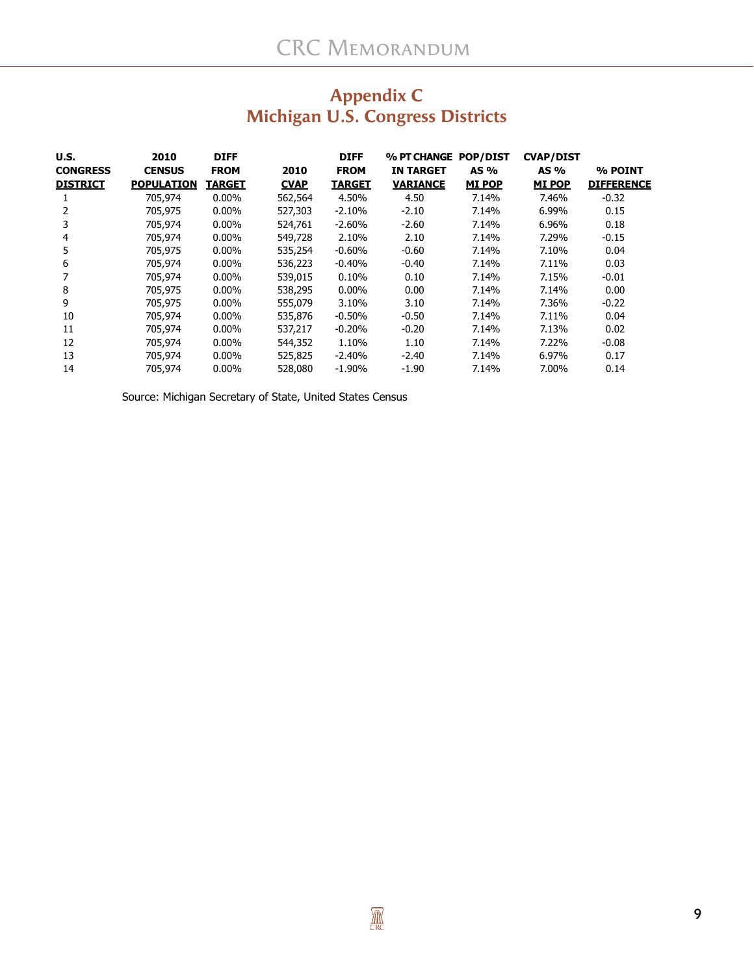| U.S.            | 2010              | <b>DIFF</b>   |             | <b>DIFF</b>   | % PT CHANGE      | <b>POP/DIST</b> | <b>CVAP/DIST</b> |                   |
|-----------------|-------------------|---------------|-------------|---------------|------------------|-----------------|------------------|-------------------|
| <b>CONGRESS</b> | <b>CENSUS</b>     | <b>FROM</b>   | 2010        | <b>FROM</b>   | <b>IN TARGET</b> | $AS\%$          | AS %             | % POINT           |
| <b>DISTRICT</b> | <b>POPULATION</b> | <b>TARGET</b> | <b>CVAP</b> | <b>TARGET</b> | <b>VARIANCE</b>  | <b>MI POP</b>   | <b>MI POP</b>    | <b>DIFFERENCE</b> |
|                 | 705,974           | $0.00\%$      | 562,564     | 4.50%         | 4.50             | 7.14%           | 7.46%            | $-0.32$           |
| 2               | 705,975           | $0.00\%$      | 527,303     | $-2.10%$      | $-2.10$          | 7.14%           | 6.99%            | 0.15              |
| 3               | 705,974           | $0.00\%$      | 524,761     | $-2.60\%$     | $-2.60$          | 7.14%           | 6.96%            | 0.18              |
| 4               | 705,974           | $0.00\%$      | 549,728     | 2.10%         | 2.10             | 7.14%           | 7.29%            | $-0.15$           |
| 5               | 705,975           | $0.00\%$      | 535,254     | $-0.60\%$     | $-0.60$          | 7.14%           | 7.10%            | 0.04              |
| 6               | 705,974           | $0.00\%$      | 536,223     | $-0.40%$      | $-0.40$          | 7.14%           | 7.11%            | 0.03              |
|                 | 705,974           | $0.00\%$      | 539,015     | 0.10%         | 0.10             | 7.14%           | 7.15%            | $-0.01$           |
| 8               | 705,975           | $0.00\%$      | 538,295     | $0.00\%$      | 0.00             | 7.14%           | 7.14%            | 0.00              |
| 9               | 705,975           | $0.00\%$      | 555,079     | 3.10%         | 3.10             | 7.14%           | 7.36%            | $-0.22$           |
| 10              | 705,974           | $0.00\%$      | 535,876     | $-0.50\%$     | $-0.50$          | 7.14%           | 7.11%            | 0.04              |
| 11              | 705,974           | $0.00\%$      | 537,217     | $-0.20%$      | $-0.20$          | 7.14%           | 7.13%            | 0.02              |
| 12              | 705,974           | $0.00\%$      | 544,352     | 1.10%         | 1.10             | 7.14%           | 7.22%            | $-0.08$           |
| 13              | 705,974           | $0.00\%$      | 525,825     | $-2.40%$      | $-2.40$          | 7.14%           | 6.97%            | 0.17              |
| 14              | 705,974           | $0.00\%$      | 528,080     | -1.90%        | $-1.90$          | 7.14%           | 7.00%            | 0.14              |

# **Appendix C Michigan U.S. Congress Districts**

Source: Michigan Secretary of State, United States Census